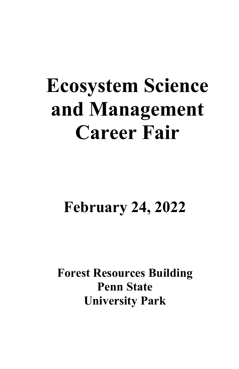# **Ecosystem Science and Management Career Fair**

## **February 24, 2022**

**Forest Resources Building Penn State University Park**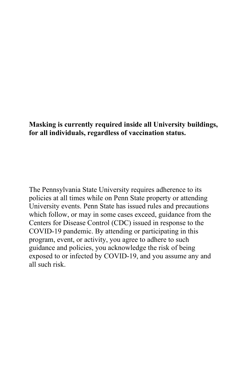#### **Masking is currently required inside all University buildings, for all individuals, regardless of vaccination status.**

The Pennsylvania State University requires adherence to its policies at all times while on Penn State property or attending University events. Penn State has issued rules and precautions which follow, or may in some cases exceed, guidance from the Centers for Disease Control (CDC) issued in response to the COVID-19 pandemic. By attending or participating in this program, event, or activity, you agree to adhere to such guidance and policies, you acknowledge the risk of being exposed to or infected by COVID-19, and you assume any and all such risk.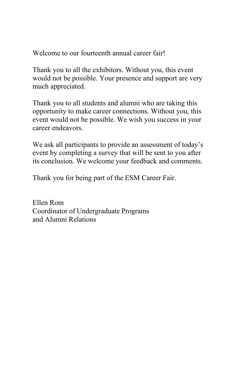Welcome to our fourteenth annual career fair!

Thank you to all the exhibitors. Without you, this event would not be possible. Your presence and support are very much appreciated.

Thank you to all students and alumni who are taking this opportunity to make career connections. Without you, this event would not be possible. We wish you success in your career endeavors.

We ask all participants to provide an assessment of today's event by completing a survey that will be sent to you after its conclusion. We welcome your feedback and comments.

Thank you for being part of the ESM Career Fair.

Ellen Rom Coordinator of Undergraduate Programs and Alumni Relations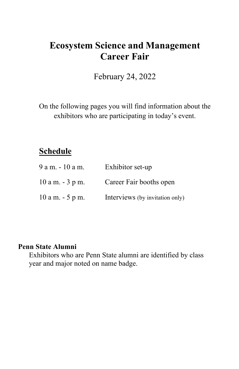## **Ecosystem Science and Management Career Fair**

February 24, 2022

On the following pages you will find information about the exhibitors who are participating in today's event.

## **Schedule**

| 9 a m. - 10 a m.    | Exhibitor set-up                |
|---------------------|---------------------------------|
| $10$ a m. $-3$ p m. | Career Fair booths open         |
| $10$ a m. $-5$ p m. | Interviews (by invitation only) |

#### **Penn State Alumni**

Exhibitors who are Penn State alumni are identified by class year and major noted on name badge.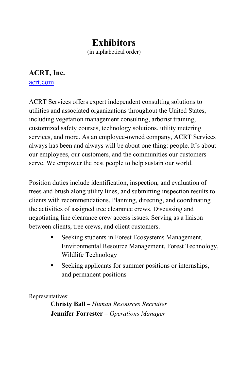## **Exhibitors**

(in alphabetical order)

## **ACRT, Inc.**

[acrt.com](https://acrt.com/)

ACRT Services offers expert independent consulting solutions to utilities and associated organizations throughout the United States, including vegetation management consulting, arborist training, customized safety courses, technology solutions, utility metering services, and more. As an employee-owned company, ACRT Services always has been and always will be about one thing: people. It's about our employees, our customers, and the communities our customers serve. We empower the best people to help sustain our world.

Position duties include identification, inspection, and evaluation of trees and brush along utility lines, and submitting inspection results to clients with recommendations. Planning, directing, and coordinating the activities of assigned tree clearance crews. Discussing and negotiating line clearance crew access issues. Serving as a liaison between clients, tree crews, and client customers.

- Seeking students in Forest Ecosystems Management, Environmental Resource Management, Forest Technology, Wildlife Technology
- Seeking applicants for summer positions or internships, and permanent positions

Representatives:

**Christy Ball –** *Human Resources Recruiter* **Jennifer Forrester –** *Operations Manager*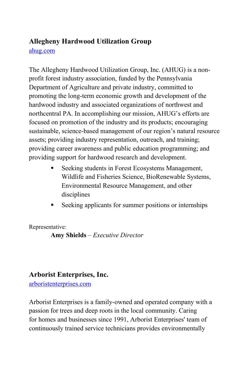## **Allegheny Hardwood Utilization Group**

ahug.com

The Allegheny Hardwood Utilization Group, Inc. (AHUG) is a nonprofit forest industry association, funded by the Pennsylvania Department of Agriculture and private industry, committed to promoting the long-term economic growth and development of the hardwood industry and associated organizations of northwest and northcentral PA. In accomplishing our mission, AHUG's efforts are focused on promotion of the industry and its products; encouraging sustainable, science-based management of our region's natural resource assets; providing industry representation, outreach, and training; providing career awareness and public education programming; and providing support for hardwood research and development.

- **Seeking students in Forest Ecosystems Management,** Wildlife and Fisheries Science, BioRenewable Systems, Environmental Resource Management, and other disciplines
- Seeking applicants for summer positions or internships

Representative:

**Amy Shields** – *Executive Director*

#### **Arborist Enterprises, Inc.**

arboristenterprises.com

Arborist Enterprises is a family-owned and operated company with a passion for trees and deep roots in the local community. Caring for homes and businesses since 1991, Arborist Enterprises' team of continuously trained service technicians provides environmentally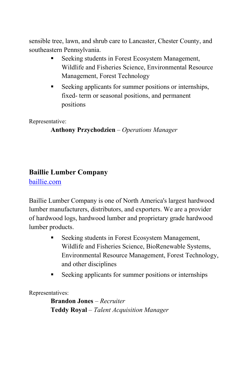sensible tree, lawn, and shrub care to Lancaster, Chester County, and southeastern Pennsylvania.

- Seeking students in Forest Ecosystem Management, Wildlife and Fisheries Science, Environmental Resource Management, Forest Technology
- Seeking applicants for summer positions or internships, fixed- term or seasonal positions, and permanent positions

Representative:

**Anthony Przychodzien** – *Operations Manager*

#### **Baillie Lumber Company**

baillie.com

Baillie Lumber Company is one of North America's largest hardwood lumber manufacturers, distributors, and exporters. We are a provider of hardwood logs, hardwood lumber and proprietary grade hardwood lumber products.

- **Seeking students in Forest Ecosystem Management,** Wildlife and Fisheries Science, BioRenewable Systems, Environmental Resource Management, Forest Technology, and other disciplines
- Seeking applicants for summer positions or internships

Representatives:

**Brandon Jones** *– Recruiter* **Teddy Royal** *– Talent Acquisition Manager*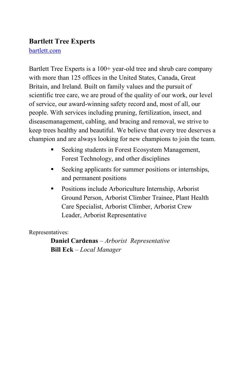#### **Bartlett Tree Experts**

#### [bartlett.com](http://www.bartlett.com/)

Bartlett Tree Experts is a 100+ year-old tree and shrub care company with more than 125 offices in the United States, Canada, Great Britain, and Ireland. Built on family values and the pursuit of scientific tree care, we are proud of the quality of our work, our level of service, our award-winning safety record and, most of all, our people. With services including pruning, fertilization, insect, and diseasemanagement, cabling, and bracing and removal, we strive to keep trees healthy and beautiful. We believe that every tree deserves a champion and are always looking for new champions to join the team.

- **Seeking students in Forest Ecosystem Management,** Forest Technology, and other disciplines
- Seeking applicants for summer positions or internships, and permanent positions
- **Positions include Arboriculture Internship, Arborist** Ground Person, Arborist Climber Trainee, Plant Health Care Specialist, Arborist Climber, Arborist Crew Leader, Arborist Representative

Representatives:

**Daniel Cardenas** – *Arborist Representative* **Bill Eck** *– Local Manager*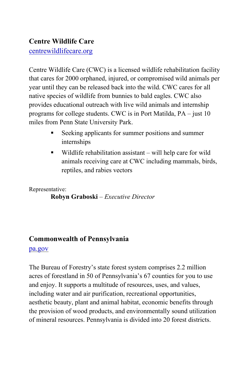#### **Centre Wildlife Care**

[centrewildlifecare.org](https://centrewildlifecare.org/)

Centre Wildlife Care (CWC) is a licensed wildlife rehabilitation facility that cares for 2000 orphaned, injured, or compromised wild animals per year until they can be released back into the wild. CWC cares for all native species of wildlife from bunnies to bald eagles. CWC also provides educational outreach with live wild animals and internship programs for college students. CWC is in Port Matilda, PA – just 10 miles from Penn State University Park.

- Seeking applicants for summer positions and summer internships
- Wildlife rehabilitation assistant will help care for wild animals receiving care at CWC including mammals, birds, reptiles, and rabies vectors

Representative:

**Robyn Graboski** *– Executive Director*

## **Commonwealth of Pennsylvania**

#### [pa.gov](http://pa.gov/)

The Bureau of Forestry's state forest system comprises 2.2 million acres of forestland in 50 of Pennsylvania's 67 counties for you to use and enjoy. It supports a multitude of resources, uses, and values, including water and air purification, recreational opportunities, aesthetic beauty, plant and animal habitat, economic benefits through the provision of wood products, and environmentally sound utilization of mineral resources. Pennsylvania is divided into 20 forest districts.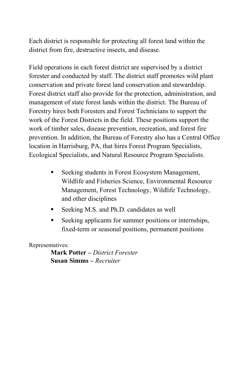Each district is responsible for protecting all forest land within the district from fire, destructive insects, and disease.

Field operations in each forest district are supervised by a district forester and conducted by staff. The district staff promotes wild plant conservation and private forest land conservation and stewardship. Forest district staff also provide for the protection, administration, and management of state forest lands within the district. The Bureau of Forestry hires both Foresters and Forest Technicians to support the work of the Forest Districts in the field. These positions support the work of timber sales, disease prevention, recreation, and forest fire prevention. In addition, the Bureau of Forestry also has a Central Office location in Harrisburg, PA, that hires Forest Program Specialists, Ecological Specialists, and Natural Resource Program Specialists.

- Seeking students in Forest Ecosystem Management, Wildlife and Fisheries Science, Environmental Resource Management, Forest Technology, Wildlife Technology, and other disciplines
- Seeking M.S. and Ph.D. candidates as well
- Seeking applicants for summer positions or internships, fixed-term or seasonal positions, permanent positions

Representatives:

**Mark Potter –** *District Forester* **Susan Simms –** *Recruiter*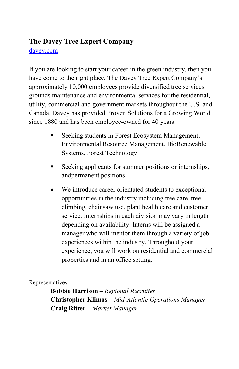#### **The Davey Tree Expert Company**

#### [davey.com](http://www.davey.com/)

If you are looking to start your career in the green industry, then you have come to the right place. The Davey Tree Expert Company's approximately 10,000 employees provide diversified tree services, grounds maintenance and environmental services for the residential, utility, commercial and government markets throughout the U.S. and Canada. Davey has provided Proven Solutions for a Growing World since 1880 and has been employee-owned for 40 years.

- Seeking students in Forest Ecosystem Management, Environmental Resource Management, BioRenewable Systems, Forest Technology
- Seeking applicants for summer positions or internships, andpermanent positions
- We introduce career orientated students to exceptional opportunities in the industry including tree care, tree climbing, chainsaw use, plant health care and customer service. Internships in each division may vary in length depending on availability. Interns will be assigned a manager who will mentor them through a variety of job experiences within the industry. Throughout your experience, you will work on residential and commercial properties and in an office setting.

Representatives:

**Bobbie Harrison** *– Regional Recruiter* **Christopher Klimas** *– Mid-Atlantic Operations Manager* **Craig Ritter** *– Market Manager*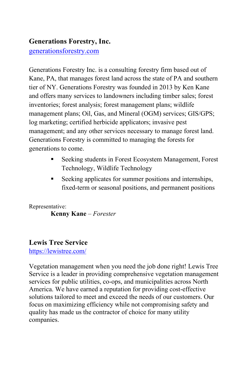#### **Generations Forestry, Inc.**

generationsforestry.com

Generations Forestry Inc. is a consulting forestry firm based out of Kane, PA, that manages forest land across the state of PA and southern tier of NY. Generations Forestry was founded in 2013 by Ken Kane and offers many services to landowners including timber sales; forest inventories; forest analysis; forest management plans; wildlife management plans; Oil, Gas, and Mineral (OGM) services; GIS/GPS; log marketing; certified herbicide applicators; invasive pest management; and any other services necessary to manage forest land. Generations Forestry is committed to managing the forests for generations to come.

- **Seeking students in Forest Ecosystem Management, Forest** Technology, Wildlife Technology
- Seeking applicates for summer positions and internships, fixed-term or seasonal positions, and permanent positions

Representative:

**Kenny Kane** – *Forester*

#### **Lewis Tree Service**

<https://lewistree.com/>

Vegetation management when you need the job done right! Lewis Tree Service is a leader in providing comprehensive vegetation management services for public utilities, co-ops, and municipalities across North America. We have earned a reputation for providing cost-effective solutions tailored to meet and exceed the needs of our customers. Our focus on maximizing efficiency while not compromising safety and quality has made us the contractor of choice for many utility companies.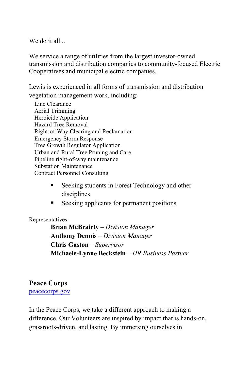$We do it all.$ 

We service a range of utilities from the largest investor-owned transmission and distribution companies to community-focused Electric Cooperatives and municipal electric companies.

Lewis is experienced in all forms of transmission and distribution vegetation management work, including:

- Line Clearance Aerial Trimming Herbicide Application Hazard Tree Removal Right-of-Way Clearing and Reclamation Emergency Storm Response Tree Growth Regulator Application Urban and Rural Tree Pruning and Care Pipeline right-of-way maintenance Substation Maintenance Contract Personnel Consulting
	- Seeking students in Forest Technology and other disciplines
	- Seeking applicants for permanent positions

Representatives:

**Brian McBrairty** – *Division Manager* **Anthony Dennis** *– Division Manager* **Chris Gaston** – *Supervisor* **Michaele-Lynne Beckstein** *– HR Business Partner*

#### **Peace Corps**

[peacecorps.gov](https://www.peacecorps.gov/)

In the Peace Corps, we take a different approach to making a difference. Our Volunteers are inspired by impact that is hands-on, grassroots-driven, and lasting. By immersing ourselves in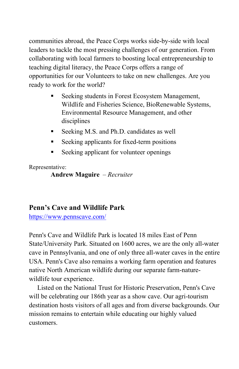communities abroad, the Peace Corps works side-by-side with local leaders to tackle the most pressing challenges of our generation. From collaborating with local farmers to boosting local entrepreneurship to teaching digital literacy, the Peace Corps offers a range of opportunities for our Volunteers to take on new challenges. Are you ready to work for the world?

- Seeking students in Forest Ecosystem Management, Wildlife and Fisheries Science, BioRenewable Systems, Environmental Resource Management, and other disciplines
- Seeking M.S. and Ph.D. candidates as well
- Seeking applicants for fixed-term positions
- Seeking applicant for volunteer openings

Representative:

**Andrew Maguire** – *Recruiter*

#### **Penn's Cave and Wildlife Park**

<https://www.pennscave.com/>

Penn's Cave and Wildlife Park is located 18 miles East of Penn State/University Park. Situated on 1600 acres, we are the only all-water cave in Pennsylvania, and one of only three all-water caves in the entire USA. Penn's Cave also remains a working farm operation and features native North American wildlife during our separate farm-naturewildlife tour experience.

 Listed on the National Trust for Historic Preservation, Penn's Cave will be celebrating our 186th year as a show cave. Our agri-tourism destination hosts visitors of all ages and from diverse backgrounds. Our mission remains to entertain while educating our highly valued customers.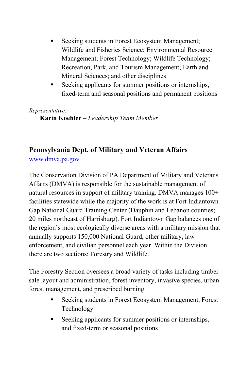- Seeking students in Forest Ecosystem Management; Wildlife and Fisheries Science; Environmental Resource Management; Forest Technology; Wildlife Technology; Recreation, Park, and Tourism Management; Earth and Mineral Sciences; and other disciplines
- Seeking applicants for summer positions or internships, fixed-term and seasonal positions and permanent positions

#### *Representative:*

**Karin Koehler** – *Leadership Team Member*

#### **Pennsylvania Dept. of Military and Veteran Affairs**

www.dmva.pa.gov

The Conservation Division of PA Department of Military and Veterans Affairs (DMVA) is responsible for the sustainable management of natural resources in support of military training. DMVA manages 100+ facilities statewide while the majority of the work is at Fort Indiantown Gap National Guard Training Center (Dauphin and Lebanon counties; 20 miles northeast of Harrisburg). Fort Indiantown Gap balances one of the region's most ecologically diverse areas with a military mission that annually supports 150,000 National Guard, other military, law enforcement, and civilian personnel each year. Within the Division there are two sections: Forestry and Wildlife.

The Forestry Section oversees a broad variety of tasks including timber sale layout and administration, forest inventory, invasive species, urban forest management, and prescribed burning.

- Seeking students in Forest Ecosystem Management, Forest Technology
- Seeking applicants for summer positions or internships, and fixed-term or seasonal positions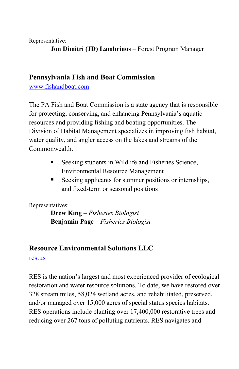Representative:

**Jon Dimitri (JD) Lambrinos** – Forest Program Manager

#### **Pennsylvania Fish and Boat Commission**

[www.fishandboat.com](http://www.fishandboat.com/)

The PA Fish and Boat Commission is a state agency that is responsible for protecting, conserving, and enhancing Pennsylvania's aquatic resources and providing fishing and boating opportunities. The Division of Habitat Management specializes in improving fish habitat, water quality, and angler access on the lakes and streams of the Commonwealth.

- Seeking students in Wildlife and Fisheries Science, Environmental Resource Management
- Seeking applicants for summer positions or internships, and fixed-term or seasonal positions

Representatives:

**Drew King** – *Fisheries Biologist* **Benjamin Page** *– Fisheries Biologist*

#### **Resource Environmental Solutions LLC**

res.us

RES is the nation's largest and most experienced provider of ecological restoration and water resource solutions. To date, we have restored over 328 stream miles, 58,024 wetland acres, and rehabilitated, preserved, and/or managed over 15,000 acres of special status species habitats. RES operations include planting over 17,400,000 restorative trees and reducing over 267 tons of polluting nutrients. RES navigates and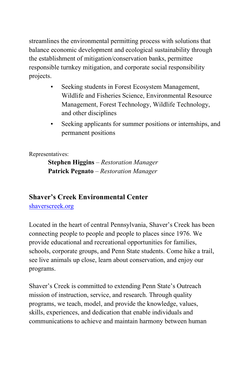streamlines the environmental permitting process with solutions that balance economic development and ecological sustainability through the establishment of mitigation/conservation banks, permittee responsible turnkey mitigation, and corporate social responsibility projects.

- Seeking students in Forest Ecosystem Management, Wildlife and Fisheries Science, Environmental Resource Management, Forest Technology, Wildlife Technology, and other disciplines
- Seeking applicants for summer positions or internships, and permanent positions

Representatives:

**Stephen Higgins** – *Restoration Manager* **Patrick Pegnato** *– Restoration Manager*

#### **Shaver's Creek Environmental Center**

[shaverscreek.org](http://www.shaverscreek.org/)

Located in the heart of central Pennsylvania, Shaver's Creek has been connecting people to people and people to places since 1976. We provide educational and recreational opportunities for families, schools, corporate groups, and Penn State students. Come hike a trail, see live animals up close, learn about conservation, and enjoy our programs.

Shaver's Creek is committed to extending Penn State's Outreach mission of instruction, service, and research. Through quality programs, we teach, model, and provide the knowledge, values, skills, experiences, and dedication that enable individuals and communications to achieve and maintain harmony between human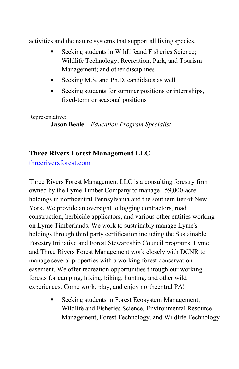activities and the nature systems that support all living species.

- Seeking students in Wildlifeand Fisheries Science; Wildlife Technology; Recreation, Park, and Tourism Management; and other disciplines
- Seeking M.S. and Ph.D. candidates as well
- Seeking students for summer positions or internships, fixed-term or seasonal positions

Representative:

**Jason Beale** *– Education Program Specialist*

#### **Three Rivers Forest Management LLC**

threeriversforest.com

Three Rivers Forest Management LLC is a consulting forestry firm owned by the Lyme Timber Company to manage 159,000-acre holdings in northcentral Pennsylvania and the southern tier of New York. We provide an oversight to logging contractors, road construction, herbicide applicators, and various other entities working on Lyme Timberlands. We work to sustainably manage Lyme's holdings through third party certification including the Sustainable Forestry Initiative and Forest Stewardship Council programs. Lyme and Three Rivers Forest Management work closely with DCNR to manage several properties with a working forest conservation easement. We offer recreation opportunities through our working forests for camping, hiking, biking, hunting, and other wild experiences. Come work, play, and enjoy northcentral PA!

> Seeking students in Forest Ecosystem Management, Wildlife and Fisheries Science, Environmental Resource Management, Forest Technology, and Wildlife Technology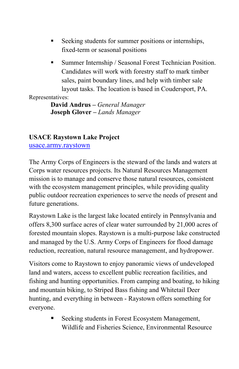- Seeking students for summer positions or internships, fixed-term or seasonal positions
- **Summer Internship / Seasonal Forest Technician Position.** Candidates will work with forestry staff to mark timber sales, paint boundary lines, and help with timber sale layout tasks. The location is based in Coudersport, PA.

#### Representatives:

**David Andrus –** *General Manager* **Joseph Glover –** *Lands Manager*

#### **USACE Raystown Lake Project**

[usace.army.raystown](https://www.nab.usace.army.mil/Raystown/)

The Army Corps of Engineers is the steward of the lands and waters at Corps water resources projects. Its Natural Resources Management mission is to manage and conserve those natural resources, consistent with the ecosystem management principles, while providing quality public outdoor recreation experiences to serve the needs of present and future generations.

Raystown Lake is the largest lake located entirely in Pennsylvania and offers 8,300 surface acres of clear water surrounded by 21,000 acres of forested mountain slopes. Raystown is a multi-purpose lake constructed and managed by the U.S. Army Corps of Engineers for flood damage reduction, recreation, natural resource management, and hydropower.

Visitors come to Raystown to enjoy panoramic views of undeveloped land and waters, access to excellent public recreation facilities, and fishing and hunting opportunities. From camping and boating, to hiking and mountain biking, to Striped Bass fishing and Whitetail Deer hunting, and everything in between - Raystown offers something for everyone.

> **Seeking students in Forest Ecosystem Management,** Wildlife and Fisheries Science, Environmental Resource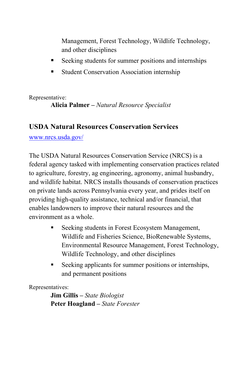Management, Forest Technology, Wildlife Technology, and other disciplines

- Seeking students for summer positions and internships
- Student Conservation Association internship

Representative: **Alicia Palmer –** *Natural Resource Specialist*

#### **USDA Natural Resources Conservation Services**

[www.nrcs.usda.gov/](http://www.nrcs.usda.gov/)

The USDA Natural Resources Conservation Service (NRCS) is a federal agency tasked with implementing conservation practices related to agriculture, forestry, ag engineering, agronomy, animal husbandry, and wildlife habitat. NRCS installs thousands of conservation practices on private lands across Pennsylvania every year, and prides itself on providing high-quality assistance, technical and/or financial, that enables landowners to improve their natural resources and the environment as a whole.

- **Seeking students in Forest Ecosystem Management,** Wildlife and Fisheries Science, BioRenewable Systems, Environmental Resource Management, Forest Technology, Wildlife Technology, and other disciplines
- Seeking applicants for summer positions or internships, and permanent positions

Representatives:

**Jim Gillis –** *State Biologist* **Peter Hoagland –** *State Forester*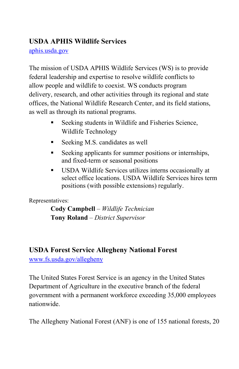#### **USDA APHIS Wildlife Services**

[aphis.usda.gov](http://www.aphis.usda.gov/)

The mission of USDA APHIS Wildlife Services (WS) is to provide federal leadership and expertise to resolve wildlife conflicts to allow people and wildlife to coexist. WS conducts program delivery, research, and other activities through its regional and state offices, the National Wildlife Research Center, and its field stations, as well as through its national programs.

- Seeking students in Wildlife and Fisheries Science, Wildlife Technology
- Seeking M.S. candidates as well
- Seeking applicants for summer positions or internships, and fixed-term or seasonal positions
- USDA Wildlife Services utilizes interns occasionally at select office locations. USDA Wildlife Services hires term positions (with possible extensions) regularly.

Representatives:

**Cody Campbell** *– Wildlife Technician* **Tony Roland** *– District Supervisor*

#### **USDA Forest Service Allegheny National Forest**

[www.fs.usda.gov/allegheny](http://www.fs.usda.gov/allegheny)

The United States Forest Service is an agency in the United States Department of Agriculture in the executive branch of the federal government with a permanent workforce exceeding 35,000 employees nationwide.

The Allegheny National Forest (ANF) is one of 155 national forests, 20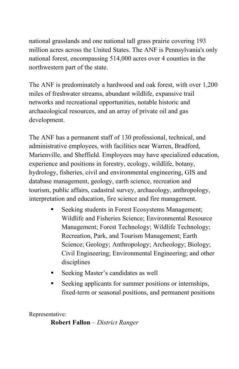national grasslands and one national tall grass prairie covering 193 million acres across the United States. The ANF is Pennsylvania's only national forest, encompassing 514,000 acres over 4 counties in the northwestern part of the state.

The ANF is predominately a hardwood and oak forest, with over 1,200 miles of freshwater streams, abundant wildlife, expansive trail networks and recreational opportunities, notable historic and archaeological resources, and an array of private oil and gas development.

The ANF has a permanent staff of 130 professional, technical, and administrative employees, with facilities near Warren, Bradford, Marienville, and Sheffield. Employees may have specialized education, experience and positions in forestry, ecology, wildlife, botany, hydrology, fisheries, civil and environmental engineering, GIS and database management, geology, earth science, recreation and tourism, public affairs, cadastral survey, archaeology, anthropology, interpretation and education, fire science and fire management.

- Seeking students in Forest Ecosystems Management; Wildlife and Fisheries Science; Environmental Resource Management; Forest Technology; Wildlife Technology; Recreation, Park, and Tourism Management; Earth Science; Geology; Anthropology; Archeology; Biology; Civil Engineering; Environmental Engineering; and other disciplines
- Seeking Master's candidates as well
- Seeking applicants for summer positions or internships, fixed-term or seasonal positions, and permanent positions

Representative:

**Robert Fallon** – *District Ranger*